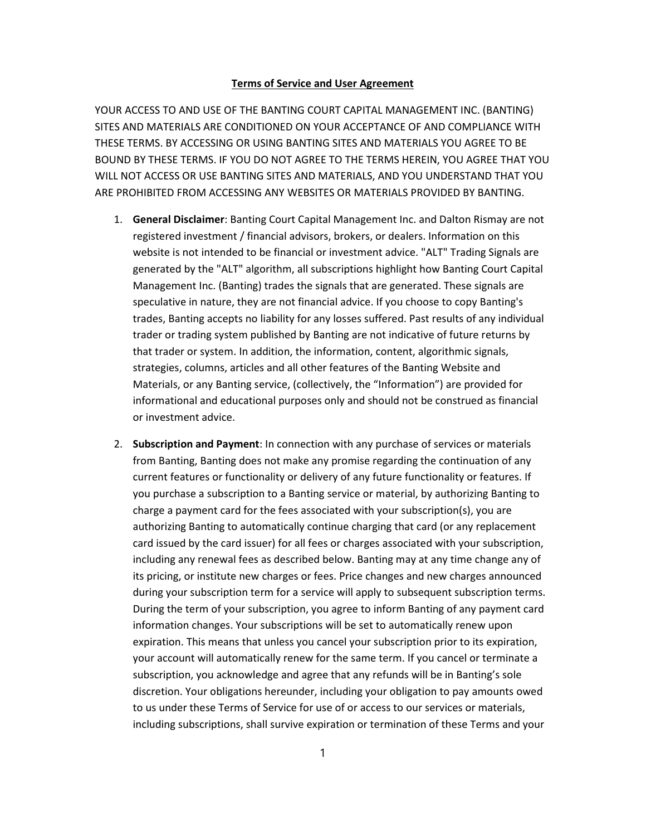## Terms of Service and User Agreement

YOUR ACCESS TO AND USE OF THE BANTING COURT CAPITAL MANAGEMENT INC. (BANTING) SITES AND MATERIALS ARE CONDITIONED ON YOUR ACCEPTANCE OF AND COMPLIANCE WITH THESE TERMS. BY ACCESSING OR USING BANTING SITES AND MATERIALS YOU AGREE TO BE BOUND BY THESE TERMS. IF YOU DO NOT AGREE TO THE TERMS HEREIN, YOU AGREE THAT YOU WILL NOT ACCESS OR USE BANTING SITES AND MATERIALS, AND YOU UNDERSTAND THAT YOU ARE PROHIBITED FROM ACCESSING ANY WEBSITES OR MATERIALS PROVIDED BY BANTING.

- 1. General Disclaimer: Banting Court Capital Management Inc. and Dalton Rismay are not registered investment / financial advisors, brokers, or dealers. Information on this website is not intended to be financial or investment advice. "ALT" Trading Signals are generated by the "ALT" algorithm, all subscriptions highlight how Banting Court Capital Management Inc. (Banting) trades the signals that are generated. These signals are speculative in nature, they are not financial advice. If you choose to copy Banting's trades, Banting accepts no liability for any losses suffered. Past results of any individual trader or trading system published by Banting are not indicative of future returns by that trader or system. In addition, the information, content, algorithmic signals, strategies, columns, articles and all other features of the Banting Website and Materials, or any Banting service, (collectively, the "Information") are provided for informational and educational purposes only and should not be construed as financial or investment advice.
- 2. Subscription and Payment: In connection with any purchase of services or materials from Banting, Banting does not make any promise regarding the continuation of any current features or functionality or delivery of any future functionality or features. If you purchase a subscription to a Banting service or material, by authorizing Banting to charge a payment card for the fees associated with your subscription(s), you are authorizing Banting to automatically continue charging that card (or any replacement card issued by the card issuer) for all fees or charges associated with your subscription, including any renewal fees as described below. Banting may at any time change any of its pricing, or institute new charges or fees. Price changes and new charges announced during your subscription term for a service will apply to subsequent subscription terms. During the term of your subscription, you agree to inform Banting of any payment card information changes. Your subscriptions will be set to automatically renew upon expiration. This means that unless you cancel your subscription prior to its expiration, your account will automatically renew for the same term. If you cancel or terminate a subscription, you acknowledge and agree that any refunds will be in Banting's sole discretion. Your obligations hereunder, including your obligation to pay amounts owed to us under these Terms of Service for use of or access to our services or materials, including subscriptions, shall survive expiration or termination of these Terms and your